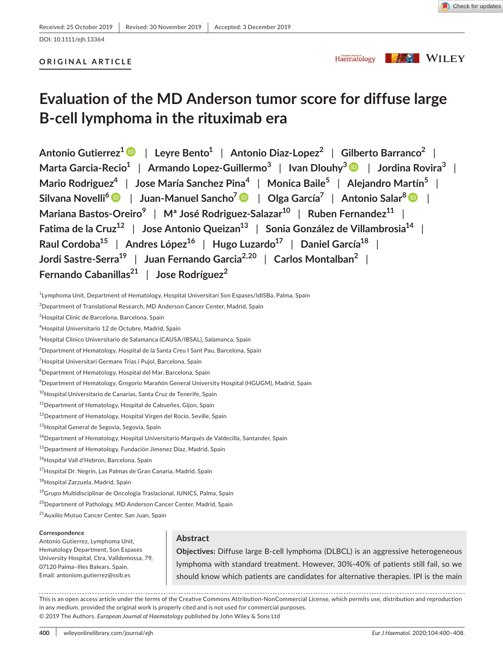#### DOI: 10.1111/ejh.13364

# **ORIGINAL ARTICLE**

Haematology

**KAS** WILEY

# **Evaluation of the MD Anderson tumor score for diffuse large B-cell lymphoma in the rituximab era**

**Antonio Gutierrez[1](https://orcid.org/0000-0001-9062-077X)** | **Leyre Bento1** | **Antonio Diaz-Lopez2** | **Gilberto Barranco2** | **Marta Garcia-Recio1** | **Armando Lopez-Guillermo<sup>3</sup>** | **Ivan Dlouhy[3](https://orcid.org/0000-0003-3066-4732)** | **Jordina Rovira3** | **Mario Rodriguez4** | **Jose María Sanchez Pina<sup>4</sup>** | **Monica Baile5** | **Alejandro Martín5** | **Silvana Novelli[6](https://orcid.org/0000-0001-8750-0195)** | **Juan-Manuel Sancho7** | **Olga García7** | **Antonio Salar[8](https://orcid.org/0000-0002-4652-4825)** | **Mariana Bastos-Oreiro**<sup>9</sup> | M<sup>ª</sup> José Rodriguez-Salazar<sup>10</sup> | Ruben Fernandez<sup>11</sup> | **Fatima de la Cruz12** | **Jose Antonio Queizan13** | **Sonia González de Villambrosia14** | **Raul Cordoba15** | **Andres López16** | **Hugo Luzardo17** | **Daniel García18** | **Jordi Sastre-Serra19** | **Juan Fernando Garcia2,20** | **Carlos Montalban2** | **Fernando Cabanillas21** | **Jose Rodríguez2**

1 Lymphoma Unit, Department of Hematology, Hospital Universitari Son Espases/IdISBa, Palma, Spain

 $^{2}$ Department of Translational Research, MD Anderson Cancer Center, Madrid, Spain

<sup>3</sup>Hospital Clinic de Barcelona, Barcelona, Spain

4 Hospital Universitario 12 de Octubre, Madrid, Spain

5 Hospital Clinico Universitario de Salamanca (CAUSA/IBSAL), Salamanca, Spain

6 Department of Hematology, Hospital de la Santa Creu I Sant Pau, Barcelona, Spain

<sup>7</sup>Hospital Universitari Germans Trias i Pujol, Barcelona, Spain

8 Department of Hematology, Hospital del Mar, Barcelona, Spain

 $^9$ Department of Hematology, Gregorio Marañón General University Hospital (HGUGM), Madrid, Spain

<sup>10</sup>Hospital Universitario de Canarias, Santa Cruz de Tenerife, Spain

<sup>11</sup>Department of Hematology, Hospital de Cabueñes, Gijon, Spain

<sup>12</sup>Department of Hematology, Hospital Virgen del Rocío, Seville, Spain

13 Hospital General de Segovia, Segovia, Spain

<sup>14</sup> Department of Hematology, Hospital Universitario Marqués de Valdecilla, Santander, Spain

<sup>15</sup>Department of Hematology, Fundación Jimenez Díaz, Madrid, Spain

16Hospital Vall d'Hebron, Barcelona, Spain

<sup>17</sup>Hospital Dr. Negrin, Las Palmas de Gran Canaria, Madrid, Spain

<sup>18</sup>Hospital Zarzuela, Madrid, Spain

<sup>19</sup>Grupo Multidisciplinar de Oncologia Traslacional, IUNICS, Palma, Spain

<sup>20</sup>Department of Pathology, MD Anderson Cancer Center, Madrid, Spain

<sup>21</sup>Auxilio Mutuo Cancer Center, San Juan, Spain

#### **Correspondence**

Antonio Gutierrez, Lymphoma Unit, Hematology Department, Son Espases University Hospital, Ctra, Valldemossa, 79, 07120 Palma–Illes Balears, Spain. Email: [antoniom.gutierrez@ssib.es](mailto:antoniom.gutierrez@ssib.es)

# **Abstract**

**Objectives:** Diffuse large B-cell lymphoma (DLBCL) is an aggressive heterogeneous lymphoma with standard treatment. However, 30%-40% of patients still fail, so we should know which patients are candidates for alternative therapies. IPI is the main

This is an open access article under the terms of the [Creative Commons Attribution-NonCommercial](http://creativecommons.org/licenses/by-nc/4.0/) License, which permits use, distribution and reproduction in any medium, provided the original work is properly cited and is not used for commercial purposes. © 2019 The Authors. *European Journal of Haematology* published by John Wiley & Sons Ltd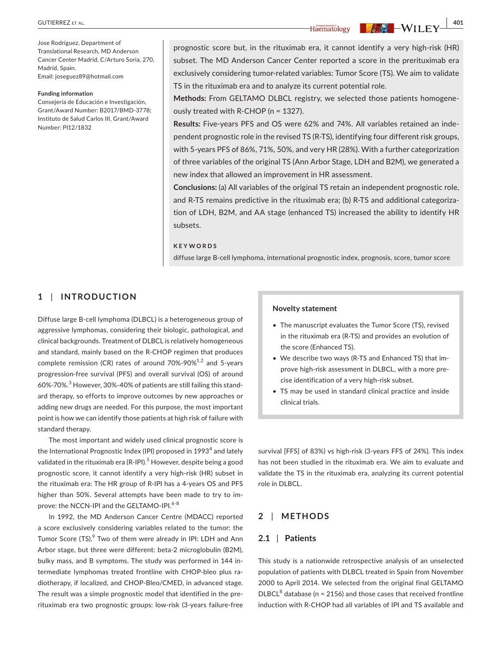Jose Rodríguez, Department of Translational Research, MD Anderson Cancer Center Madrid, C/Arturo Soria, 270, Madrid, Spain. Email: [joseguez89@hotmail.com](mailto:joseguez89@hotmail.com)

#### **Funding information**

Consejería de Educación e Investigación, Grant/Award Number: B2017/BMD-3778; Instituto de Salud Carlos III, Grant/Award Number: PI12/1832

prognostic score but, in the rituximab era, it cannot identify a very high-risk (HR) subset. The MD Anderson Cancer Center reported a score in the prerituximab era exclusively considering tumor-related variables: Tumor Score (TS). We aim to validate TS in the rituximab era and to analyze its current potential role.

**Methods:** From GELTAMO DLBCL registry, we selected those patients homogeneously treated with R-CHOP (n = 1327).

**Results:** Five-years PFS and OS were 62% and 74%. All variables retained an independent prognostic role in the revised TS (R-TS), identifying four different risk groups, with 5-years PFS of 86%, 71%, 50%, and very HR (28%). With a further categorization of three variables of the original TS (Ann Arbor Stage, LDH and B2M), we generated a new index that allowed an improvement in HR assessment.

**Conclusions:** (a) All variables of the original TS retain an independent prognostic role, and R-TS remains predictive in the rituximab era; (b) R-TS and additional categorization of LDH, B2M, and AA stage (enhanced TS) increased the ability to identify HR subsets.

#### **KEYWORDS**

diffuse large B-cell lymphoma, international prognostic index, prognosis, score, tumor score

## **1** | **INTRODUCTION**

Diffuse large B-cell lymphoma (DLBCL) is a heterogeneous group of aggressive lymphomas, considering their biologic, pathological, and clinical backgrounds. Treatment of DLBCL is relatively homogeneous and standard, mainly based on the R-CHOP regimen that produces complete remission (CR) rates of around  $70\%$ -90% $^{1,2}$  and 5-years progression-free survival (PFS) and overall survival (OS) of around 60%-70%. $^3$  However, 30%-40% of patients are still failing this standard therapy, so efforts to improve outcomes by new approaches or adding new drugs are needed. For this purpose, the most important point is how we can identify those patients at high risk of failure with standard therapy.

The most important and widely used clinical prognostic score is the International Prognostic Index (IPI) proposed in 1993 $^{\rm 4}$  and lately validated in the rituximab era (R-IPI). $^5$  However, despite being a good prognostic score, it cannot identify a very high-risk (HR) subset in the rituximab era: The HR group of R-IPI has a 4-years OS and PFS higher than 50%. Several attempts have been made to try to improve: the NCCN-IPI and the GELTAMO-IPI.<sup>6-8</sup>

In 1992, the MD Anderson Cancer Centre (MDACC) reported a score exclusively considering variables related to the tumor: the Tumor Score (TS).<sup>9</sup> Two of them were already in IPI: LDH and Ann Arbor stage, but three were different: beta-2 microglobulin (B2M), bulky mass, and B symptoms. The study was performed in 144 intermediate lymphomas treated frontline with CHOP-bleo plus radiotherapy, if localized, and CHOP-Bleo/CMED, in advanced stage. The result was a simple prognostic model that identified in the prerituximab era two prognostic groups: low-risk (3-years failure-free

#### **Novelty statement**

- The manuscript evaluates the Tumor Score (TS), revised in the rituximab era (R-TS) and provides an evolution of the score (Enhanced TS).
- We describe two ways (R-TS and Enhanced TS) that improve high-risk assessment in DLBCL, with a more precise identification of a very high-risk subset.
- TS may be used in standard clinical practice and inside clinical trials.

survival [FFS] of 83%) vs high-risk (3-years FFS of 24%). This index has not been studied in the rituximab era. We aim to evaluate and validate the TS in the rituximab era, analyzing its current potential role in DLBCL.

### **2** | **METHODS**

# **2.1** | **Patients**

This study is a nationwide retrospective analysis of an unselected population of patients with DLBCL treated in Spain from November 2000 to April 2014. We selected from the original final GELTAMO  $DLBCL<sup>8</sup>$  database (n = 2156) and those cases that received frontline induction with R-CHOP had all variables of IPI and TS available and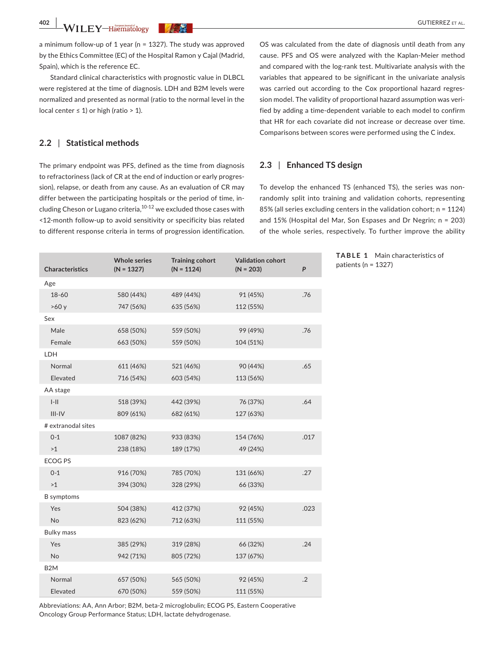a minimum follow-up of 1 year (n = 1327). The study was approved by the Ethics Committee (EC) of the Hospital Ramon y Cajal (Madrid, Spain), which is the reference EC.

Standard clinical characteristics with prognostic value in DLBCL were registered at the time of diagnosis. LDH and B2M levels were normalized and presented as normal (ratio to the normal level in the local center ≤ 1) or high (ratio > 1).

## **2.2** | **Statistical methods**

The primary endpoint was PFS, defined as the time from diagnosis to refractoriness (lack of CR at the end of induction or early progression), relapse, or death from any cause. As an evaluation of CR may differ between the participating hospitals or the period of time, including Cheson or Lugano criteria,<sup>10-12</sup> we excluded those cases with <12-month follow-up to avoid sensitivity or specificity bias related to different response criteria in terms of progression identification.

OS was calculated from the date of diagnosis until death from any cause. PFS and OS were analyzed with the Kaplan-Meier method and compared with the log-rank test. Multivariate analysis with the variables that appeared to be significant in the univariate analysis was carried out according to the Cox proportional hazard regression model. The validity of proportional hazard assumption was verified by adding a time-dependent variable to each model to confirm that HR for each covariate did not increase or decrease over time. Comparisons between scores were performed using the C index.

#### **2.3** | **Enhanced TS design**

To develop the enhanced TS (enhanced TS), the series was nonrandomly split into training and validation cohorts, representing 85% (all series excluding centers in the validation cohort; n = 1124) and 15% (Hospital del Mar, Son Espases and Dr Negrin; n = 203) of the whole series, respectively. To further improve the ability

patients (n = 1327)

**TABLE 1** Main characteristics of

| <b>Characteristics</b> | <b>Whole series</b><br>$(N = 1327)$ | <b>Training cohort</b><br>$(N = 1124)$ | <b>Validation cohort</b><br>$(N = 203)$ | P    |
|------------------------|-------------------------------------|----------------------------------------|-----------------------------------------|------|
| Age                    |                                     |                                        |                                         |      |
| 18-60                  | 580 (44%)                           | 489 (44%)                              | 91 (45%)                                | .76  |
| >60y                   | 747 (56%)                           | 635 (56%)                              | 112 (55%)                               |      |
| Sex                    |                                     |                                        |                                         |      |
| Male                   | 658 (50%)                           | 559 (50%)                              | 99 (49%)                                | .76  |
| Female                 | 663 (50%)                           | 559 (50%)                              | 104 (51%)                               |      |
| LDH                    |                                     |                                        |                                         |      |
| Normal                 | 611 (46%)                           | 521 (46%)                              | 90 (44%)                                | .65  |
| Elevated               | 716 (54%)                           | 603 (54%)                              | 113 (56%)                               |      |
| AA stage               |                                     |                                        |                                         |      |
| $I-II$                 | 518 (39%)                           | 442 (39%)                              | 76 (37%)                                | .64  |
| $III - IV$             | 809 (61%)                           | 682 (61%)                              | 127 (63%)                               |      |
| # extranodal sites     |                                     |                                        |                                         |      |
| $0 - 1$                | 1087 (82%)                          | 933 (83%)                              | 154 (76%)                               | .017 |
| >1                     | 238 (18%)                           | 189 (17%)                              | 49 (24%)                                |      |
| <b>ECOG PS</b>         |                                     |                                        |                                         |      |
| $0 - 1$                | 916 (70%)                           | 785 (70%)                              | 131 (66%)                               | .27  |
| >1                     | 394 (30%)                           | 328 (29%)                              | 66 (33%)                                |      |
| <b>B</b> symptoms      |                                     |                                        |                                         |      |
| Yes                    | 504 (38%)                           | 412 (37%)                              | 92 (45%)                                | .023 |
| No                     | 823 (62%)                           | 712 (63%)                              | 111 (55%)                               |      |
| <b>Bulky mass</b>      |                                     |                                        |                                         |      |
| Yes                    | 385 (29%)                           | 319 (28%)                              | 66 (32%)                                | .24  |
| No                     | 942 (71%)                           | 805 (72%)                              | 137 (67%)                               |      |
| B <sub>2</sub> M       |                                     |                                        |                                         |      |
| Normal                 | 657 (50%)                           | 565 (50%)                              | 92 (45%)                                | .2   |
| Elevated               | 670 (50%)                           | 559 (50%)                              | 111 (55%)                               |      |

Abbreviations: AA, Ann Arbor; B2M, beta-2 microglobulin; ECOG PS, Eastern Cooperative Oncology Group Performance Status; LDH, lactate dehydrogenase.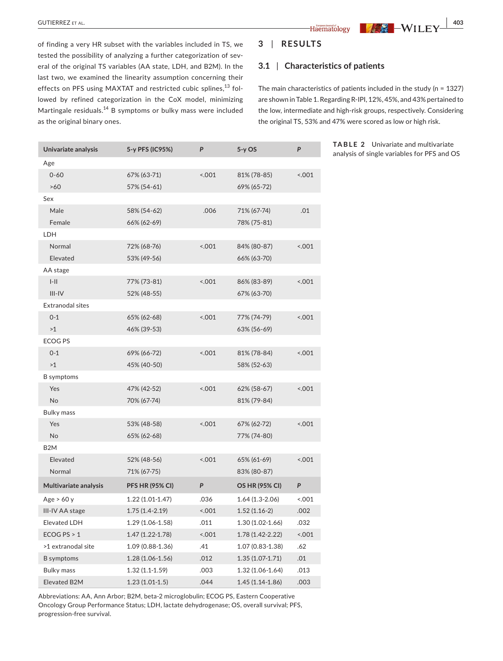of finding a very HR subset with the variables included in TS, we tested the possibility of analyzing a further categorization of several of the original TS variables (AA state, LDH, and B2M). In the last two, we examined the linearity assumption concerning their effects on PFS using MAXTAT and restricted cubic splines,<sup>13</sup> followed by refined categorization in the CoX model, minimizing Martingale residuals.<sup>14</sup> B symptoms or bulky mass were included as the original binary ones.

### **3** | **RESULTS**

#### **3.1** | **Characteristics of patients**

The main characteristics of patients included in the study (n = 1327) are shown in Table 1. Regarding R-IPI, 12%, 45%, and 43% pertained to the low, intermediate and high-risk groups, respectively. Considering the original TS, 53% and 47% were scored as low or high risk.

| Univariate analysis   | 5-y PFS (IC95%)        | P     | $5-y$ OS            | P      |
|-----------------------|------------------------|-------|---------------------|--------|
| Age                   |                        |       |                     |        |
| $0 - 60$              | 67% (63-71)            | 001   | 81% (78-85)         | 0.001  |
| >60                   | 57% (54-61)            |       | 69% (65-72)         |        |
| Sex                   |                        |       |                     |        |
| Male                  | 58% (54-62)            | .006  | 71% (67-74)         | .01    |
| Female                | 66% (62-69)            |       | 78% (75-81)         |        |
| LDH                   |                        |       |                     |        |
| Normal                | 72% (68-76)            | 001   | 84% (80-87)         | 0.001  |
| Elevated              | 53% (49-56)            |       | 66% (63-70)         |        |
| AA stage              |                        |       |                     |        |
| $I-II$                | 77% (73-81)            | 0.001 | 86% (83-89)         | 0.001  |
| $III-IV$              | 52% (48-55)            |       | 67% (63-70)         |        |
| Extranodal sites      |                        |       |                     |        |
| $0 - 1$               | 65% (62-68)            | 001   | 77% (74-79)         | 1001   |
| >1                    | 46% (39-53)            |       | 63% (56-69)         |        |
| <b>ECOG PS</b>        |                        |       |                     |        |
| $0 - 1$               | 69% (66-72)            | 0.001 | 81% (78-84)         | < .001 |
| >1                    | 45% (40-50)            |       | 58% (52-63)         |        |
| <b>B</b> symptoms     |                        |       |                     |        |
| Yes                   | 47% (42-52)            | 001   | 62% (58-67)         | < .001 |
| No                    | 70% (67-74)            |       | 81% (79-84)         |        |
| <b>Bulky mass</b>     |                        |       |                     |        |
| Yes                   | 53% (48-58)            | 0.001 | 67% (62-72)         | 001    |
| No                    | 65% (62-68)            |       | 77% (74-80)         |        |
| B <sub>2</sub> M      |                        |       |                     |        |
| Elevated              | 52% (48-56)            | 001   | 65% (61-69)         | 001    |
| Normal                | 71% (67-75)            |       | 83% (80-87)         |        |
| Multivariate analysis | <b>PFS HR (95% CI)</b> | P     | OS HR (95% CI)      | P      |
| Age $> 60 y$          | $1.22(1.01-1.47)$      | .036  | $1.64(1.3-2.06)$    | 001    |
| III-IV AA stage       | $1.75(1.4-2.19)$       | 0.001 | $1.52(1.16-2)$      | .002   |
| Elevated LDH          | 1.29 (1.06-1.58)       | .011  | 1.30 (1.02-1.66)    | .032   |
| ECOG PS $> 1$         | $1.47(1.22 - 1.78)$    | 001   | 1.78 (1.42-2.22)    | 001    |
| >1 extranodal site    | 1.09 (0.88-1.36)       | .41   | 1.07 (0.83-1.38)    | .62    |
| <b>B</b> symptoms     | $1.28(1.06 - 1.56)$    | .012  | $1.35(1.07-1.71)$   | .01    |
| <b>Bulky mass</b>     | $1.32(1.1-1.59)$       | .003  | $1.32(1.06 - 1.64)$ | .013   |
| Elevated B2M          | $1.23(1.01-1.5)$       | .044  | $1.45(1.14-1.86)$   | .003   |

**TABLE 2** Univariate and multivariate analysis of single variables for PFS and OS

Abbreviations: AA, Ann Arbor; B2M, beta-2 microglobulin; ECOG PS, Eastern Cooperative Oncology Group Performance Status; LDH, lactate dehydrogenase; OS, overall survival; PFS, progression-free survival.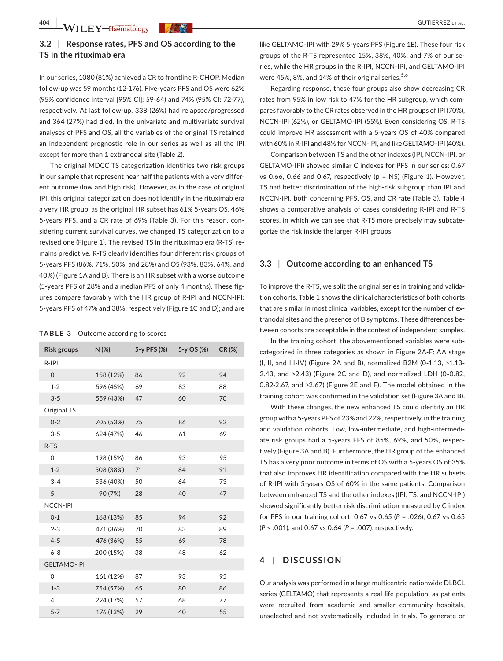**404 WILEY-Haematology** *WAR* 

# **3.2** | **Response rates, PFS and OS according to the TS in the rituximab era**

In our series, 1080 (81%) achieved a CR to frontline R-CHOP. Median follow-up was 59 months (12-176). Five-years PFS and OS were 62% (95% confidence interval [95% CI]: 59-64) and 74% (95% CI: 72-77), respectively. At last follow-up, 338 (26%) had relapsed/progressed and 364 (27%) had died. In the univariate and multivariate survival analyses of PFS and OS, all the variables of the original TS retained an independent prognostic role in our series as well as all the IPI except for more than 1 extranodal site (Table 2).

The original MDCC TS categorization identifies two risk groups in our sample that represent near half the patients with a very different outcome (low and high risk). However, as in the case of original IPI, this original categorization does not identify in the rituximab era a very HR group, as the original HR subset has 61% 5-years OS, 46% 5-years PFS, and a CR rate of 69% (Table 3). For this reason, considering current survival curves, we changed TS categorization to a revised one (Figure 1). The revised TS in the rituximab era (R-TS) remains predictive. R-TS clearly identifies four different risk groups of 5-years PFS (86%, 71%, 50%, and 28%) and OS (93%, 83%, 64%, and 40%) (Figure 1A and B). There is an HR subset with a worse outcome (5-years PFS of 28% and a median PFS of only 4 months). These figures compare favorably with the HR group of R-IPI and NCCN-IPI: 5-years PFS of 47% and 38%, respectively (Figure 1C and D); and are

#### **TABLE 3**  Outcome according to scores

| Risk groups        | $N$ (%)   | 5-y PFS (%) | 5-y OS (%) | CR(%) |
|--------------------|-----------|-------------|------------|-------|
| $R-IPI$            |           |             |            |       |
| $\mathbf{O}$       | 158 (12%) | 86          | 92         | 94    |
| $1 - 2$            | 596 (45%) | 69          | 83         | 88    |
| $3 - 5$            | 559 (43%) | 47          | 60         | 70    |
| Original TS        |           |             |            |       |
| $0 - 2$            | 705 (53%) | 75          | 86         | 92    |
| $3 - 5$            | 624 (47%) | 46          | 61         | 69    |
| $R-TS$             |           |             |            |       |
| 0                  | 198 (15%) | 86          | 93         | 95    |
| $1 - 2$            | 508 (38%) | 71          | 84         | 91    |
| $3 - 4$            | 536 (40%) | 50          | 64         | 73    |
| 5                  | 90 (7%)   | 28          | 40         | 47    |
| <b>NCCN-IPI</b>    |           |             |            |       |
| $0 - 1$            | 168 (13%) | 85          | 94         | 92    |
| $2 - 3$            | 471 (36%) | 70          | 83         | 89    |
| $4 - 5$            | 476 (36%) | 55          | 69         | 78    |
| $6 - 8$            | 200 (15%) | 38          | 48         | 62    |
| <b>GELTAMO-IPI</b> |           |             |            |       |
| 0                  | 161 (12%) | 87          | 93         | 95    |
| $1 - 3$            | 754 (57%) | 65          | 80         | 86    |
| $\overline{4}$     | 224 (17%) | 57          | 68         | 77    |
| $5 - 7$            | 176 (13%) | 29          | 40         | 55    |

like GELTAMO-IPI with 29% 5-years PFS (Figure 1E). These four risk groups of the R-TS represented 15%, 38%, 40%, and 7% of our series, while the HR groups in the R-IPI, NCCN-IPI, and GELTAMO-IPI were 45%, 8%, and 14% of their original series.  $5.6$ 

Regarding response, these four groups also show decreasing CR rates from 95% in low risk to 47% for the HR subgroup, which compares favorably to the CR rates observed in the HR groups of IPI (70%), NCCN-IPI (62%), or GELTAMO-IPI (55%). Even considering OS, R-TS could improve HR assessment with a 5-years OS of 40% compared with 60% in R-IPI and 48% for NCCN-IPI, and like GELTAMO-IPI (40%).

Comparison between TS and the other indexes (IPI, NCCN-IPI, or GELTAMO-IPI) showed similar C indexes for PFS in our series: 0.67 vs 0.66, 0.66 and 0.67, respectively (p = NS) (Figure 1). However, TS had better discrimination of the high-risk subgroup than IPI and NCCN-IPI, both concerning PFS, OS, and CR rate (Table 3). Table 4 shows a comparative analysis of cases considering R-IPI and R-TS scores, in which we can see that R-TS more precisely may subcategorize the risk inside the larger R-IPI groups.

#### **3.3** | **Outcome according to an enhanced TS**

To improve the R-TS, we split the original series in training and validation cohorts. Table 1 shows the clinical characteristics of both cohorts that are similar in most clinical variables, except for the number of extranodal sites and the presence of B symptoms. These differences between cohorts are acceptable in the context of independent samples.

In the training cohort, the abovementioned variables were subcategorized in three categories as shown in Figure 2A-F: AA stage (I, II, and III-IV) (Figure 2A and B), normalized B2M (0-1.13, >1.13- 2.43, and >2.43) (Figure 2C and D), and normalized LDH (0-0.82, 0.82-2.67, and >2.67) (Figure 2E and F). The model obtained in the training cohort was confirmed in the validation set (Figure 3A and B).

With these changes, the new enhanced TS could identify an HR group with a 5-years PFS of 23% and 22%, respectively, in the training and validation cohorts. Low, low-intermediate, and high-intermediate risk groups had a 5-years FFS of 85%, 69%, and 50%, respectively (Figure 3A and B). Furthermore, the HR group of the enhanced TS has a very poor outcome in terms of OS with a 5-years OS of 35% that also improves HR identification compared with the HR subsets of R-IPI with 5-years OS of 60% in the same patients. Comparison between enhanced TS and the other indexes (IPI, TS, and NCCN-IPI) showed significantly better risk discrimination measured by C index for PFS in our training cohort: 0.67 vs 0.65 (*P* = .026), 0.67 vs 0.65 (*P* < .001), and 0.67 vs 0.64 (*P* = .007), respectively.

## **4** | **DISCUSSION**

Our analysis was performed in a large multicentric nationwide DLBCL series (GELTAMO) that represents a real-life population, as patients were recruited from academic and smaller community hospitals, unselected and not systematically included in trials. To generate or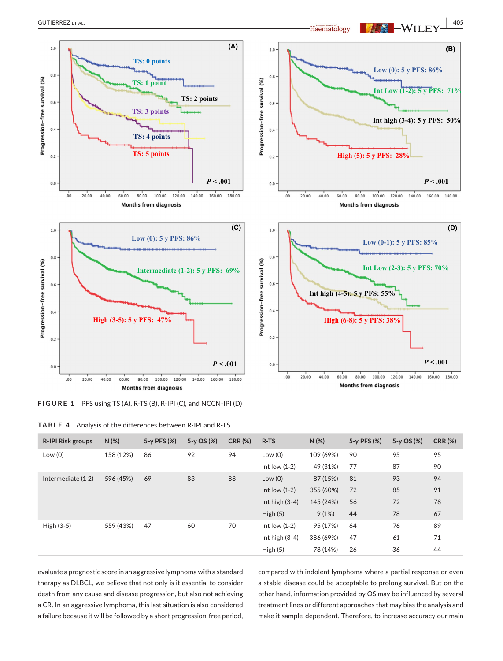

**FIGURE 1** PFS using TS (A), R-TS (B), R-IPI (C), and NCCN-IPI (D)

| <b>R-IPI Risk groups</b> | $N$ (%)   | 5-y PFS (%) | $5-y$ OS (%) | <b>CRR (%)</b> | R-TS             | $N(\%)$   | 5-y PFS (%) | $5-y$ OS $(\%)$ | <b>CRR (%)</b> |
|--------------------------|-----------|-------------|--------------|----------------|------------------|-----------|-------------|-----------------|----------------|
| Low(0)                   | 158 (12%) | 86          | 92           | 94             | Low(0)           | 109 (69%) | 90          | 95              | 95             |
|                          |           |             |              |                | Int low $(1-2)$  | 49 (31%)  | 77          | 87              | 90             |
| Intermediate (1-2)       | 596 (45%) | 69          | 83           | 88             | Low(0)           | 87 (15%)  | 81          | 93              | 94             |
|                          |           |             |              |                | Int low $(1-2)$  | 355 (60%) | 72          | 85              | 91             |
|                          |           |             |              |                | Int high $(3-4)$ | 145 (24%) | 56          | 72              | 78             |
|                          |           |             |              |                | High $(5)$       | 9(1%)     | 44          | 78              | 67             |
| High $(3-5)$             | 559 (43%) | 47          | 60           | 70             | Int low $(1-2)$  | 95 (17%)  | 64          | 76              | 89             |
|                          |           |             |              |                | Int high $(3-4)$ | 386 (69%) | 47          | 61              | 71             |
|                          |           |             |              |                | High(5)          | 78 (14%)  | 26          | 36              | 44             |

evaluate a prognostic score in an aggressive lymphoma with a standard therapy as DLBCL, we believe that not only is it essential to consider death from any cause and disease progression, but also not achieving a CR. In an aggressive lymphoma, this last situation is also considered a failure because it will be followed by a short progression-free period,

compared with indolent lymphoma where a partial response or even a stable disease could be acceptable to prolong survival. But on the other hand, information provided by OS may be influenced by several treatment lines or different approaches that may bias the analysis and make it sample-dependent. Therefore, to increase accuracy our main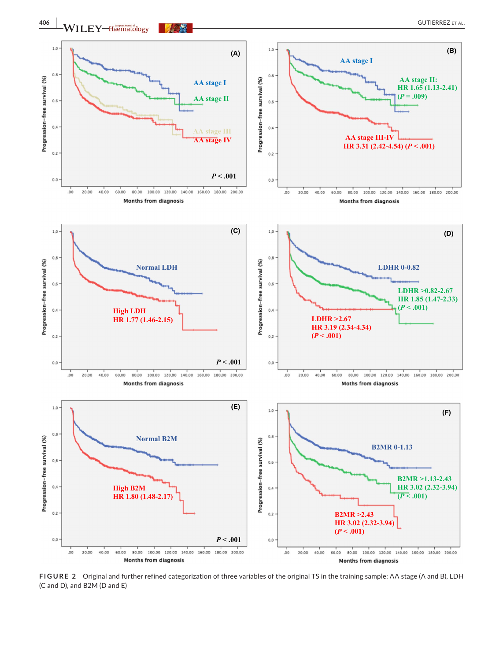

**FIGURE 2**  Original and further refined categorization of three variables of the original TS in the training sample: AA stage (A and B), LDH (C and D), and B2M (D and E)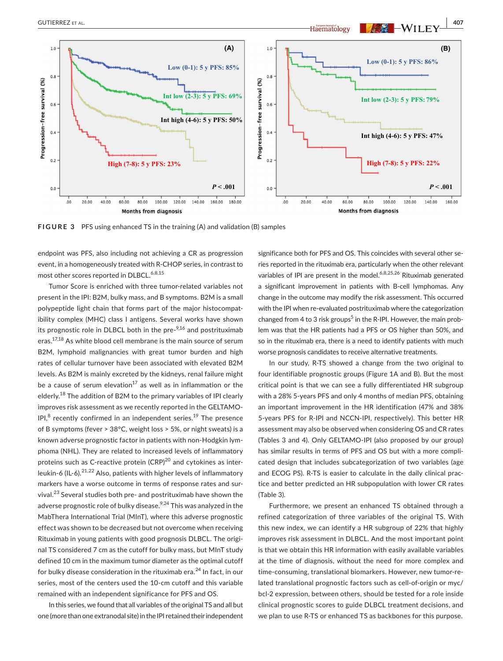

**FIGURE 3** PFS using enhanced TS in the training (A) and validation (B) samples

endpoint was PFS, also including not achieving a CR as progression event, in a homogeneously treated with R-CHOP series, in contrast to most other scores reported in DLBCL.<sup>6,8,15</sup>

Tumor Score is enriched with three tumor-related variables not present in the IPI: B2M, bulky mass, and B symptoms. B2M is a small polypeptide light chain that forms part of the major histocompatibility complex (MHC) class I antigens. Several works have shown its prognostic role in DLBCL both in the pre- $9,16$  and postrituximab eras.<sup>17,18</sup> As white blood cell membrane is the main source of serum B2M, lymphoid malignancies with great tumor burden and high rates of cellular turnover have been associated with elevated B2M levels. As B2M is mainly excreted by the kidneys, renal failure might be a cause of serum elevation<sup>17</sup> as well as in inflammation or the elderly.<sup>18</sup> The addition of B2M to the primary variables of IPI clearly improves risk assessment as we recently reported in the GELTAMO-IPI, $^8$  recently confirmed in an independent series.<sup>19</sup> The presence of B symptoms (fever > 38°C, weight loss > 5%, or night sweats) is a known adverse prognostic factor in patients with non-Hodgkin lymphoma (NHL). They are related to increased levels of inflammatory proteins such as C-reactive protein  $(CRP)^{20}$  and cytokines as interleukin-6 (IL-6).<sup>21,22</sup> Also, patients with higher levels of inflammatory markers have a worse outcome in terms of response rates and survival.23 Several studies both pre- and postrituximab have shown the adverse prognostic role of bulky disease. $9,24$  This was analyzed in the MabThera International Trial (MInT), where this adverse prognostic effect was shown to be decreased but not overcome when receiving Rituximab in young patients with good prognosis DLBCL. The original TS considered 7 cm as the cutoff for bulky mass, but MInT study defined 10 cm in the maximum tumor diameter as the optimal cutoff for bulky disease consideration in the rituximab era. $^{24}$  In fact, in our series, most of the centers used the 10-cm cutoff and this variable remained with an independent significance for PFS and OS.

In this series, we found that all variables of the original TS and all but one (more than one extranodal site) in the IPI retained their independent significance both for PFS and OS. This coincides with several other series reported in the rituximab era, particularly when the other relevant variables of IPI are present in the model.<sup>6,8,25,26</sup> Rituximab generated a significant improvement in patients with B-cell lymphomas. Any change in the outcome may modify the risk assessment. This occurred with the IPI when re-evaluated postrituximab where the categorization changed from 4 to 3 risk groups<sup>5</sup> in the R-IPI. However, the main problem was that the HR patients had a PFS or OS higher than 50%, and so in the rituximab era, there is a need to identify patients with much worse prognosis candidates to receive alternative treatments.

In our study, R-TS showed a change from the two original to four identifiable prognostic groups (Figure 1A and B). But the most critical point is that we can see a fully differentiated HR subgroup with a 28% 5-years PFS and only 4 months of median PFS, obtaining an important improvement in the HR identification (47% and 38% 5-years PFS for R-IPI and NCCN-IPI, respectively). This better HR assessment may also be observed when considering OS and CR rates (Tables 3 and 4). Only GELTAMO-IPI (also proposed by our group) has similar results in terms of PFS and OS but with a more complicated design that includes subcategorization of two variables (age and ECOG PS). R-TS is easier to calculate in the daily clinical practice and better predicted an HR subpopulation with lower CR rates (Table 3).

Furthermore, we present an enhanced TS obtained through a refined categorization of three variables of the original TS. With this new index, we can identify a HR subgroup of 22% that highly improves risk assessment in DLBCL. And the most important point is that we obtain this HR information with easily available variables at the time of diagnosis, without the need for more complex and time-consuming, translational biomarkers. However, new tumor-related translational prognostic factors such as cell-of-origin or myc/ bcl-2 expression, between others, should be tested for a role inside clinical prognostic scores to guide DLBCL treatment decisions, and we plan to use R-TS or enhanced TS as backbones for this purpose.